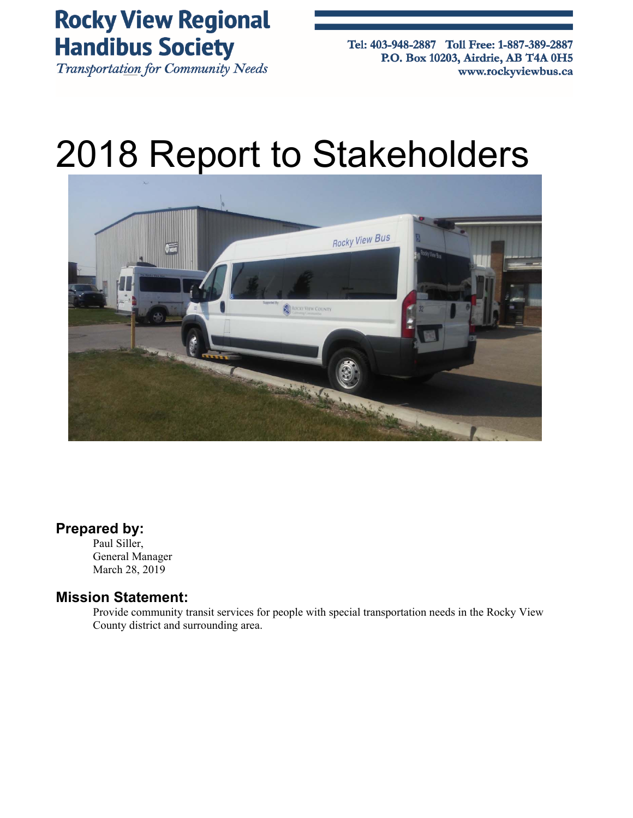**Rocky View Regional Handibus Society** 

**Transportation for Community Needs** 

Tel: 403-948-2887 Toll Free: 1-887-389-2887 P.O. Box 10203, Airdrie, AB T4A 0H5 www.rockyviewbus.ca

# 2018 Report to Stakeholders



### **Prepared by:**

Paul Siller, General Manager March 28, 2019

### **Mission Statement:**

Provide community transit services for people with special transportation needs in the Rocky View County district and surrounding area.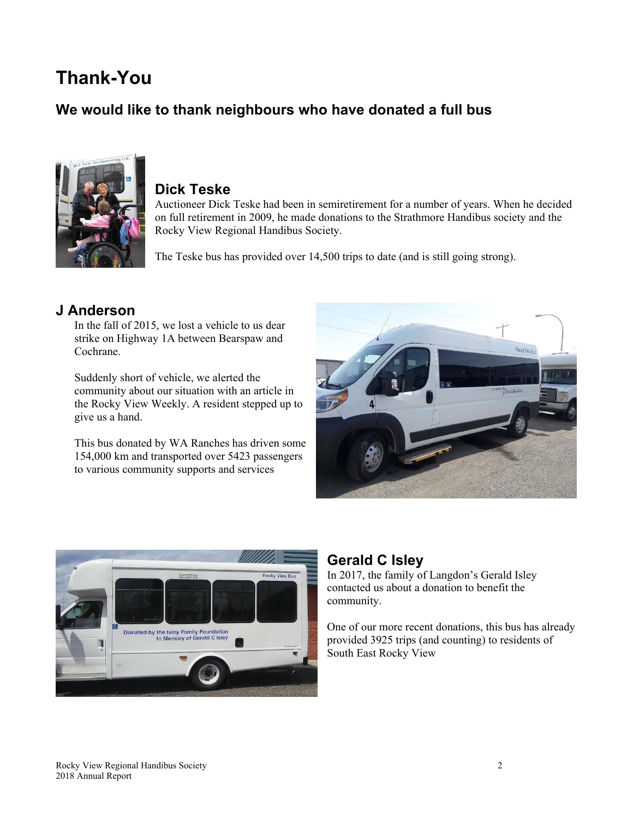# **Thank-You**

# **We would like to thank neighbours who have donated a full bus**



### **Dick Teske**

Auctioneer Dick Teske had been in semiretirement for a number of years. When he decided on full retirement in 2009, he made donations to the Strathmore Handibus society and the Rocky View Regional Handibus Society.

The Teske bus has provided over 14,500 trips to date (and is still going strong).

### **J Anderson**

In the fall of 2015, we lost a vehicle to us dear strike on Highway 1A between Bearspaw and Cochrane.

Suddenly short of vehicle, we alerted the community about our situation with an article in the Rocky View Weekly. A resident stepped up to give us a hand.

This bus donated by WA Ranches has driven some 154,000 km and transported over 5423 passengers to various community supports and services





### **Gerald C Isley**

In 2017, the family of Langdon's Gerald Isley contacted us about a donation to benefit the community.

One of our more recent donations, this bus has already provided 3925 trips (and counting) to residents of South East Rocky View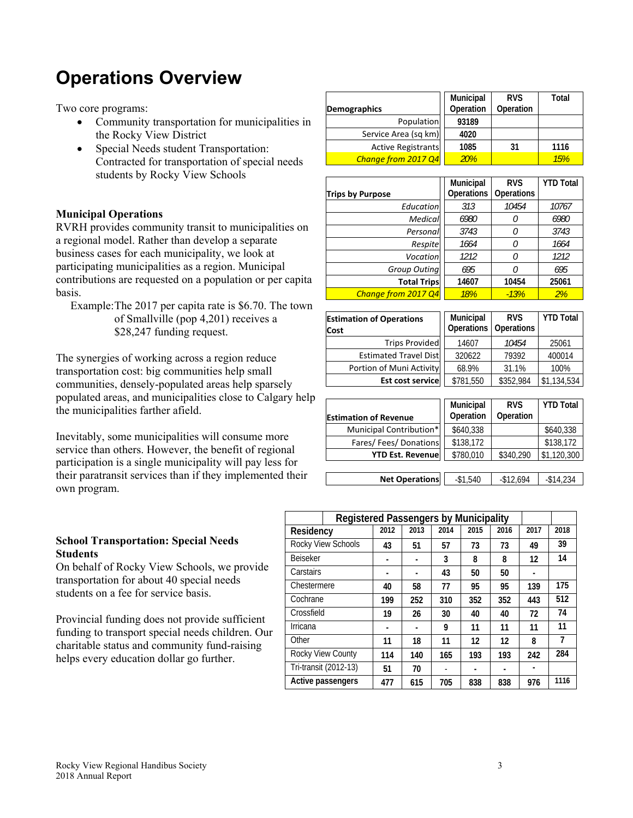# **Operations Overview**

Two core programs:

- Community transportation for municipalities in the Rocky View District
- Special Needs student Transportation: Contracted for transportation of special needs students by Rocky View Schools

### **Municipal Operations**

RVRH provides community transit to municipalities on a regional model. Rather than develop a separate business cases for each municipality, we look at participating municipalities as a region. Municipal contributions are requested on a population or per capita basis.

Example: The 2017 per capita rate is \$6.70. The town of Smallville (pop 4,201) receives a \$28,247 funding request.

The synergies of working across a region reduce transportation cost: big communities help small communities, densely-populated areas help sparsely populated areas, and municipalities close to Calgary help the municipalities farther afield.

Inevitably, some municipalities will consume more service than others. However, the benefit of regional participation is a single municipality will pay less for their paratransit services than if they implemented their own program.

### **School Transportation: Special Needs Students**

On behalf of Rocky View Schools, we provide transportation for about 40 special needs students on a fee for service basis.

Provincial funding does not provide sufficient funding to transport special needs children. Our charitable status and community fund-raising helps every education dollar go further.

|                           | Municipal | <b>RVS</b> | Total |
|---------------------------|-----------|------------|-------|
| <b>Demographics</b>       | Operation | Operation  |       |
| Population                | 93189     |            |       |
| Service Area (sq km)      | 4020      |            |       |
| <b>Active Registrants</b> | 1085      | 31         | 1116  |
| Change from 2017 Q4       | 20%       |            | 15%   |

|                         | Municipal         | <b>RVS</b> | <b>YTD Total</b> |
|-------------------------|-------------------|------------|------------------|
| <b>Trips by Purpose</b> | <b>Operations</b> | Operations |                  |
| Education               | 313               | 10454      | 10767            |
| Medical                 | 6980              |            | 6980             |
| Personal                | 3743              |            | 3743             |
| Respite                 | 1664              |            | 1664             |
| Vocation                | 1212              |            | 1212             |
| <b>Group Outing</b>     | 695               |            | 695              |
| <b>Total Trips</b>      | 14607             | 10454      | 25061            |
| Change from 2017 Q4     | 18%               | $-13%$     | 2%               |

| <b>Estimation of Operations</b><br>Cost | Municipal<br><b>Operations</b> | <b>RVS</b><br><b>Operations</b> | <b>YTD Total</b> |
|-----------------------------------------|--------------------------------|---------------------------------|------------------|
| <b>Trips Provided</b>                   | 14607                          | 10454                           | 25061            |
| <b>Estimated Travel Dist</b>            | 320622                         | 79392                           | 400014           |
| Portion of Muni Activity                | 68.9%                          | 31.1%                           | 100%             |
| <b>Est cost service</b>                 | \$781,550                      | \$352,984                       | \$1,134,534      |

| <b>Estimation of Revenue</b> | Municipal<br>Operation | <b>RVS</b><br>Operation | <b>YTD Total</b> |
|------------------------------|------------------------|-------------------------|------------------|
| Municipal Contribution*      | \$640,338              |                         | \$640,338        |
| Fares/Fees/Donations         | \$138,172              |                         | \$138,172        |
| <b>YTD Est. Revenue</b>      | \$780,010              | \$340,290               | \$1,120,300      |
|                              |                        |                         |                  |
| <b>Net Operations</b>        | $-$1,540$              | $-$12,694$              | $-$14.234$       |

|                 | <b>Registered Passengers by Municipality</b> |      |      |      |      |      |      |      |
|-----------------|----------------------------------------------|------|------|------|------|------|------|------|
| Residency       |                                              | 2012 | 2013 | 2014 | 2015 | 2016 | 2017 | 2018 |
|                 | Rocky View Schools                           | 43   | 51   | 57   | 73   | 73   | 49   | 39   |
| <b>Beiseker</b> |                                              |      |      | 3    | 8    | 8    | 12   | 14   |
| Carstairs       |                                              |      |      | 43   | 50   | 50   |      |      |
| Chestermere     |                                              | 40   | 58   | 77   | 95   | 95   | 139  | 175  |
| Cochrane        |                                              | 199  | 252  | 310  | 352  | 352  | 443  | 512  |
| Crossfield      |                                              | 19   | 26   | 30   | 40   | 40   | 72   | 74   |
| Irricana        |                                              |      |      | 9    | 11   | 11   | 11   | 11   |
| Other           |                                              | 11   | 18   | 11   | 12   | 12   | 8    | 7    |
|                 | Rocky View County                            | 114  | 140  | 165  | 193  | 193  | 242  | 284  |
|                 | Tri-transit (2012-13)                        | 51   | 70   | ٠    |      |      |      |      |
|                 | Active passengers                            | 477  | 615  | 705  | 838  | 838  | 976  | 1116 |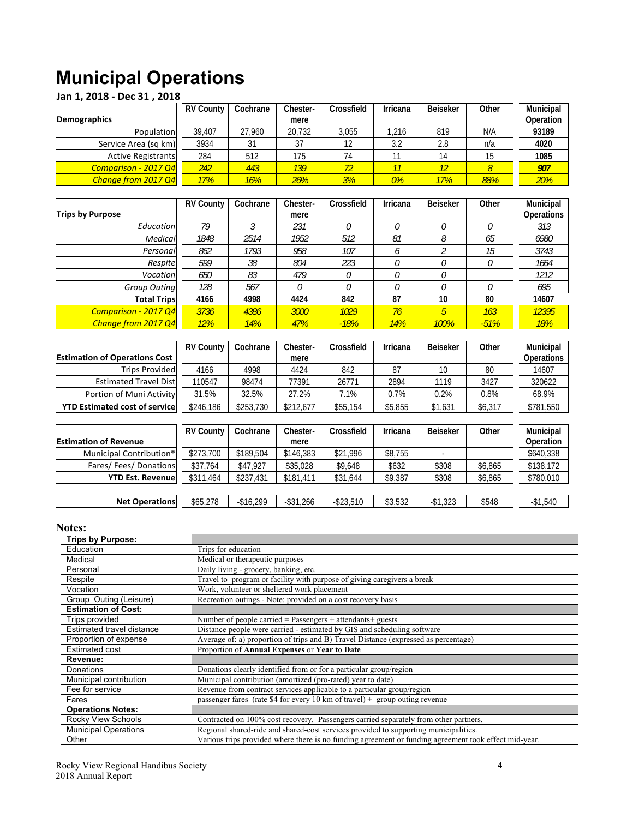# **Municipal Operations**

| Jan 1, 2018 - Dec 31, 2018 |                  |          |          |            |                 |                 |                |                  |  |  |
|----------------------------|------------------|----------|----------|------------|-----------------|-----------------|----------------|------------------|--|--|
|                            | <b>RV County</b> | Cochrane | Chester- | Crossfield | <b>Irricana</b> | <b>Beiseker</b> | Other          | <b>Municipal</b> |  |  |
| <b>Demographics</b>        |                  |          | mere     |            |                 |                 |                | Operation        |  |  |
| Population                 | 39.407           | 27.960   | 20.732   | 3.055      | .216            | 819             | N/A            | 93189            |  |  |
| Service Area (sq km)       | 3934             | 31       | 37       | 12         | 3.2             | 2.8             | n/a            | 4020             |  |  |
| <b>Active Registrants</b>  | 284              | 512      | 175      | 74         |                 | 14              | 15             | 1085             |  |  |
| Comparison - 2017 Q4       | 242              | 443      | 139      | 72         | 11              | 12              | $\overline{8}$ | 907              |  |  |
| Change from 2017 Q4        | 17%              | 16%      | 26%      | 3%         | 0%              | 17%             | 88%            | 20%              |  |  |
|                            |                  |          |          |            |                 |                 |                |                  |  |  |
|                            | <b>RV County</b> | Cochrane | Chester- | Crossfield | Irricana        | <b>Beiseker</b> | Other          | <b>Municipal</b> |  |  |
|                            |                  |          |          |            |                 |                 |                |                  |  |  |

|                      | <b>RV COUTILY</b> | COCHIGHT | UIESIEI - | <b>URUSSITERI</b> | <b>IIIICalia</b> | <b>DEISEKEI</b> | vuer    | <b>MUHICIDAL</b> |
|----------------------|-------------------|----------|-----------|-------------------|------------------|-----------------|---------|------------------|
| Trips by Purpose     |                   |          | mere      |                   |                  |                 |         | Operations       |
| Education            | 79                |          | 231       |                   |                  | $^{\prime}$     |         | 313              |
| Medical              | 1848              | 2514     | 1952      | 512               | 81               |                 | 65      | 6980             |
| Personal             | 862               | 1793     | 958       | 107               | b                |                 | 15      | 3743             |
| Respitel             | 599               | 38       | 804       | 223               |                  |                 | $\iota$ | 1664             |
| Vocation             | 650               | 83       | 479       |                   |                  |                 |         | 1212             |
| Group Outing         | 128               | 567      |           |                   |                  |                 |         | 695              |
| <b>Total Trips</b>   | 4166              | 4998     | 4424      | 842               | 87               | 10              | 80      | 14607            |
| Comparison - 2017 Q4 | 3736              | 4386     | 3000      | 1029              | 76               |                 | 163     | 12395            |
| Change from 2017 Q4  | 12%               | 14%      | 47%       | $-18%$            | 14%              | 100%            | $-51%$  | 18%              |

|                                       | <b>RV County</b> | Cochrane  | Chester-  | Crossfield | Irricana | <b>Beiseker</b> | Other   | <b>Municipal</b>  |
|---------------------------------------|------------------|-----------|-----------|------------|----------|-----------------|---------|-------------------|
| <b>Estimation of Operations Cost</b>  |                  |           | mere      |            |          |                 |         | <b>Operations</b> |
| <b>Trips Provided</b>                 | 4166             | 4998      | 4424      | 842        | 87       |                 | 80      | 14607             |
| <b>Estimated Travel Dist</b>          | 10547            | 98474     | 77391     | 26771      | 2894     | 1119            | 3427    | 320622            |
| Portion of Muni Activity              | 31.5%            | 32.5%     | 27.2%     | 7.1%       | 0.7%     | 0.2%            | 0.8%    | 68.9%             |
| <b>YTD Estimated cost of servicel</b> | \$246,186        | \$253,730 | \$212.677 | \$55,154   | \$5,855  | \$1,631         | \$6,317 | \$781,550         |

|                              | RV County | Cochrane   | Chester-     | Crossfield   | Irricana | Beiseker  | Other   | <b>Municipal</b> |
|------------------------------|-----------|------------|--------------|--------------|----------|-----------|---------|------------------|
| <b>Estimation of Revenue</b> |           |            | mere         |              |          |           |         | Operation        |
| Municipal Contribution*      | \$273,700 | \$189,504  | \$146,383    | \$21.996     | \$8,755  |           |         | \$640,338        |
| Fares/Fees/Donations         | \$37.764  | \$47.927   | \$35,028     | \$9,648      | \$632    | \$308     | \$6,865 | \$138,172        |
| <b>YTD Est. Revenue</b>      | \$311,464 | \$237,431  | \$181,411    | \$31,644     | \$9,387  | \$308     | \$6,865 | \$780,010        |
|                              |           |            |              |              |          |           |         |                  |
| <b>Net Operations</b>        | \$65,278  | $-$16.299$ | $-$ \$31,266 | $-$ \$23.510 | \$3,532  | $-$1.323$ | \$548   | $-$1,540$        |

### **Notes:**

| <b>Trips by Purpose:</b>    |                                                                                                       |
|-----------------------------|-------------------------------------------------------------------------------------------------------|
| Education                   | Trips for education                                                                                   |
| Medical                     | Medical or therapeutic purposes                                                                       |
| Personal                    | Daily living - grocery, banking, etc.                                                                 |
| Respite                     | Travel to program or facility with purpose of giving caregivers a break                               |
| Vocation                    | Work, volunteer or sheltered work placement                                                           |
| Group Outing (Leisure)      | Recreation outings - Note: provided on a cost recovery basis                                          |
| <b>Estimation of Cost:</b>  |                                                                                                       |
| Trips provided              | Number of people carried = Passengers + attendants + guests                                           |
| Estimated travel distance   | Distance people were carried - estimated by GIS and scheduling software                               |
| Proportion of expense       | Average of: a) proportion of trips and B) Travel Distance (expressed as percentage)                   |
| <b>Estimated cost</b>       | Proportion of Annual Expenses or Year to Date                                                         |
| Revenue:                    |                                                                                                       |
| Donations                   | Donations clearly identified from or for a particular group/region                                    |
| Municipal contribution      | Municipal contribution (amortized (pro-rated) year to date)                                           |
| Fee for service             | Revenue from contract services applicable to a particular group/region                                |
| Fares                       | passenger fares (rate \$4 for every 10 km of travel) + group outing revenue                           |
| <b>Operations Notes:</b>    |                                                                                                       |
| Rocky View Schools          | Contracted on 100% cost recovery. Passengers carried separately from other partners.                  |
| <b>Municipal Operations</b> | Regional shared-ride and shared-cost services provided to supporting municipalities.                  |
| Other                       | Various trips provided where there is no funding agreement or funding agreement took effect mid-year. |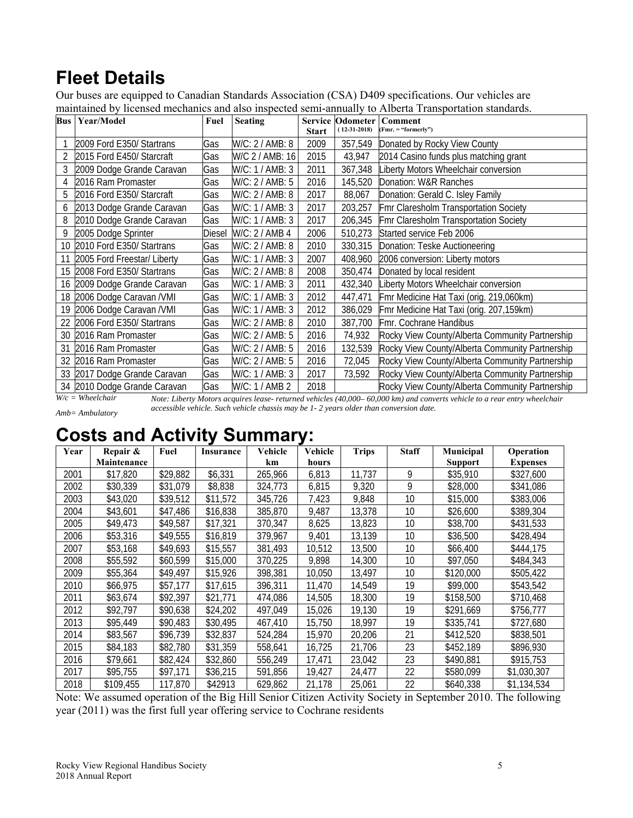# **Fleet Details**

Our buses are equipped to Canadian Standards Association (CSA) D409 specifications. Our vehicles are maintained by licensed mechanics and also inspected semi-annually to Alberta Transportation standards.

| <b>Bus</b> | Year/Model                  | Fuel          | <b>Seating</b>  | <b>Service</b><br><b>Start</b> | <b>Odometer</b><br>$(12-31-2018)$ | Comment<br>$(Fmr = "formerly")$                 |
|------------|-----------------------------|---------------|-----------------|--------------------------------|-----------------------------------|-------------------------------------------------|
|            | 2009 Ford E350/ Startrans   | Gas           | W/C: 2 / AMB: 8 | 2009                           | 357,549                           | Donated by Rocky View County                    |
| 2          | 2015 Ford E450/ Starcraft   | Gas           | W/C 2 / AMB: 16 | 2015                           | 43,947                            | 2014 Casino funds plus matching grant           |
| 3          | 2009 Dodge Grande Caravan   | Gas           | W/C: 1 / AMB: 3 | 2011                           | 367,348                           | Liberty Motors Wheelchair conversion            |
| 4          | 2016 Ram Promaster          | Gas           | W/C: 2 / AMB: 5 | 2016                           | 145,520                           | Donation: W&R Ranches                           |
| 5          | 2016 Ford E350/ Starcraft   | Gas           | W/C: 2 / AMB: 8 | 2017                           | 88,067                            | Donation: Gerald C. Isley Family                |
| 6          | 2013 Dodge Grande Caravan   | Gas           | W/C: 1 / AMB: 3 | 2017                           | 203,257                           | Fmr Claresholm Transportation Society           |
| 8          | 2010 Dodge Grande Caravan   | Gas           | W/C: 1 / AMB: 3 | 2017                           | 206,345                           | Fmr Claresholm Transportation Society           |
| 9          | 2005 Dodge Sprinter         | <b>Diesel</b> | W/C: 2 / AMB 4  | 2006                           | 510,273                           | Started service Feb 2006                        |
| 10         | 2010 Ford E350/ Startrans   | Gas           | W/C: 2 / AMB: 8 | 2010                           | 330,315                           | Donation: Teske Auctioneering                   |
| 11         | 2005 Ford Freestar/ Liberty | Gas           | W/C: 1 / AMB: 3 | 2007                           | 408,960                           | 2006 conversion: Liberty motors                 |
| 15         | 2008 Ford E350/ Startrans   | Gas           | W/C: 2 / AMB: 8 | 2008                           | 350,474                           | Donated by local resident                       |
| 16         | 2009 Dodge Grande Caravan   | Gas           | W/C: 1 / AMB: 3 | 2011                           | 432,340                           | Liberty Motors Wheelchair conversion            |
| 18         | 2006 Dodge Caravan /VMI     | Gas           | W/C: 1 / AMB: 3 | 2012                           | 447,471                           | Fmr Medicine Hat Taxi (orig. 219,060km)         |
| 19         | 2006 Dodge Caravan /VMI     | Gas           | W/C: 1 / AMB: 3 | 2012                           | 386,029                           | Fmr Medicine Hat Taxi (orig. 207,159km)         |
| 22         | 2006 Ford E350/ Startrans   | Gas           | W/C: 2 / AMB: 8 | 2010                           | 387,700                           | Fmr. Cochrane Handibus                          |
| 30         | 2016 Ram Promaster          | Gas           | W/C: 2 / AMB: 5 | 2016                           | 74,932                            | Rocky View County/Alberta Community Partnership |
| 31         | 2016 Ram Promaster          | Gas           | W/C: 2 / AMB: 5 | 2016                           | 132,539                           | Rocky View County/Alberta Community Partnership |
| 32         | 2016 Ram Promaster          | Gas           | W/C: 2 / AMB: 5 | 2016                           | 72,045                            | Rocky View County/Alberta Community Partnership |
| 33         | 2017 Dodge Grande Caravan   | Gas           | W/C: 1 / AMB: 3 | 2017                           | 73,592                            | Rocky View County/Alberta Community Partnership |
| 34         | 2010 Dodge Grande Caravan   | Gas           | W/C: 1 / AMB 2  | 2018                           |                                   | Rocky View County/Alberta Community Partnership |

*W/c = Wheelchair Amb= Ambulatory* *Note: Liberty Motors acquires lease- returned vehicles (40,000– 60,000 km) and converts vehicle to a rear entry wheelchair accessible vehicle. Such vehicle chassis may be 1- 2 years older than conversion date.* 

# **Costs and Activity Summary:**

| Year | Repair &    | Fuel     |                  | Vehicle | Vehicle | <b>Trips</b> | <b>Staff</b> | Municipal      | Operation       |
|------|-------------|----------|------------------|---------|---------|--------------|--------------|----------------|-----------------|
|      |             |          | <b>Insurance</b> |         |         |              |              |                |                 |
|      | Maintenance |          |                  | km      | hours   |              |              | <b>Support</b> | <b>Expenses</b> |
| 2001 | \$17,820    | \$29,882 | \$6,331          | 265,966 | 6,813   | 11,737       | 9            | \$35,910       | \$327,600       |
| 2002 | \$30,339    | \$31,079 | \$8,838          | 324,773 | 6,815   | 9,320        | 9            | \$28,000       | \$341,086       |
| 2003 | \$43,020    | \$39,512 | \$11,572         | 345,726 | 7,423   | 9,848        | 10           | \$15,000       | \$383,006       |
| 2004 | \$43,601    | \$47,486 | \$16,838         | 385,870 | 9,487   | 13,378       | 10           | \$26,600       | \$389,304       |
| 2005 | \$49,473    | \$49,587 | \$17,321         | 370,347 | 8,625   | 13,823       | 10           | \$38,700       | \$431,533       |
| 2006 | \$53,316    | \$49,555 | \$16,819         | 379,967 | 9,401   | 13,139       | 10           | \$36,500       | \$428,494       |
| 2007 | \$53,168    | \$49,693 | \$15,557         | 381,493 | 10,512  | 13,500       | 10           | \$66,400       | \$444,175       |
| 2008 | \$55,592    | \$60,599 | \$15,000         | 370,225 | 9,898   | 14,300       | 10           | \$97,050       | \$484,343       |
| 2009 | \$55,364    | \$49,497 | \$15,926         | 398,381 | 10,050  | 13,497       | 10           | \$120,000      | \$505,422       |
| 2010 | \$66,975    | \$57,177 | \$17,615         | 396,311 | 11,470  | 14,549       | 19           | \$99,000       | \$543,542       |
| 2011 | \$63,674    | \$92,397 | \$21,771         | 474,086 | 14,505  | 18,300       | 19           | \$158,500      | \$710,468       |
| 2012 | \$92,797    | \$90,638 | \$24,202         | 497,049 | 15,026  | 19,130       | 19           | \$291,669      | \$756,777       |
| 2013 | \$95,449    | \$90,483 | \$30,495         | 467,410 | 15.750  | 18,997       | 19           | \$335,741      | \$727,680       |
| 2014 | \$83,567    | \$96,739 | \$32,837         | 524,284 | 15,970  | 20,206       | 21           | \$412,520      | \$838,501       |
| 2015 | \$84,183    | \$82,780 | \$31,359         | 558,641 | 16,725  | 21,706       | 23           | \$452,189      | \$896,930       |
| 2016 | \$79,661    | \$82,424 | \$32,860         | 556,249 | 17,471  | 23,042       | 23           | \$490,881      | \$915,753       |
| 2017 | \$95,755    | \$97,171 | \$36,215         | 591,856 | 19,427  | 24,477       | 22           | \$580,099      | \$1,030,307     |
| 2018 | \$109,455   | 117,870  | \$42913          | 629,862 | 21,178  | 25,061       | 22           | \$640,338      | \$1,134,534     |

Note: We assumed operation of the Big Hill Senior Citizen Activity Society in September 2010. The following year (2011) was the first full year offering service to Cochrane residents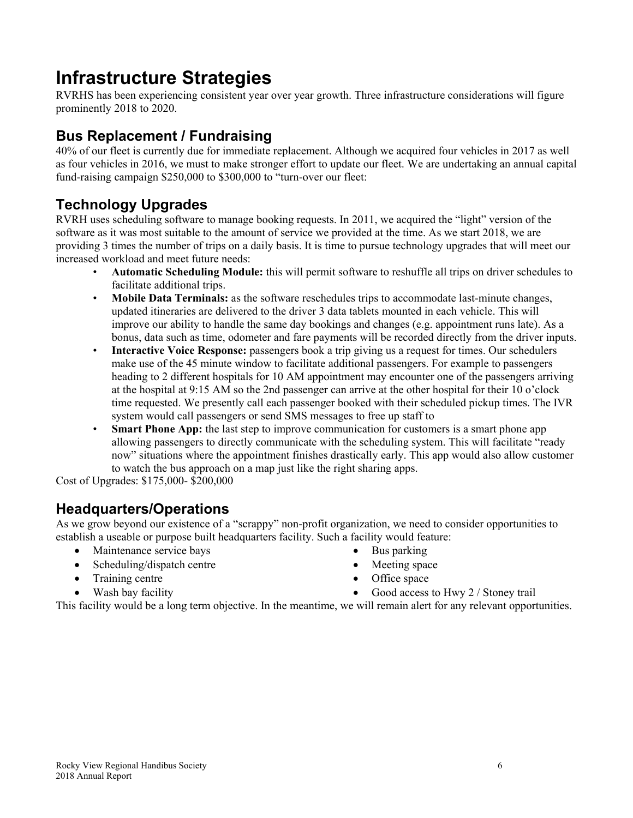# **Infrastructure Strategies**

RVRHS has been experiencing consistent year over year growth. Three infrastructure considerations will figure prominently 2018 to 2020.

# **Bus Replacement / Fundraising**

40% of our fleet is currently due for immediate replacement. Although we acquired four vehicles in 2017 as well as four vehicles in 2016, we must to make stronger effort to update our fleet. We are undertaking an annual capital fund-raising campaign \$250,000 to \$300,000 to "turn-over our fleet:

# **Technology Upgrades**

RVRH uses scheduling software to manage booking requests. In 2011, we acquired the "light" version of the software as it was most suitable to the amount of service we provided at the time. As we start 2018, we are providing 3 times the number of trips on a daily basis. It is time to pursue technology upgrades that will meet our increased workload and meet future needs:

- **Automatic Scheduling Module:** this will permit software to reshuffle all trips on driver schedules to facilitate additional trips.
- **Mobile Data Terminals:** as the software reschedules trips to accommodate last-minute changes, updated itineraries are delivered to the driver 3 data tablets mounted in each vehicle. This will improve our ability to handle the same day bookings and changes (e.g. appointment runs late). As a bonus, data such as time, odometer and fare payments will be recorded directly from the driver inputs.
- **Interactive Voice Response:** passengers book a trip giving us a request for times. Our schedulers make use of the 45 minute window to facilitate additional passengers. For example to passengers heading to 2 different hospitals for 10 AM appointment may encounter one of the passengers arriving at the hospital at 9:15 AM so the 2nd passenger can arrive at the other hospital for their 10 o'clock time requested. We presently call each passenger booked with their scheduled pickup times. The IVR system would call passengers or send SMS messages to free up staff to
- **Smart Phone App:** the last step to improve communication for customers is a smart phone app allowing passengers to directly communicate with the scheduling system. This will facilitate "ready now" situations where the appointment finishes drastically early. This app would also allow customer to watch the bus approach on a map just like the right sharing apps.

Cost of Upgrades: \$175,000- \$200,000

### **Headquarters/Operations**

As we grow beyond our existence of a "scrappy" non-profit organization, we need to consider opportunities to establish a useable or purpose built headquarters facility. Such a facility would feature:

- Maintenance service bays
- Scheduling/dispatch centre
- Training centre
- Wash bay facility
- Bus parking
- Meeting space
- Office space
- Good access to Hwy 2 / Stoney trail

This facility would be a long term objective. In the meantime, we will remain alert for any relevant opportunities.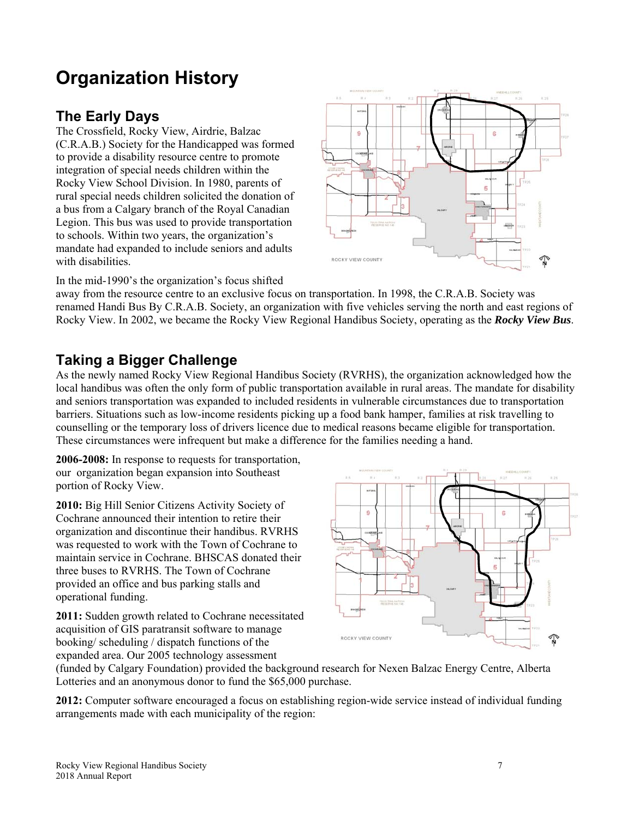# **Organization History**

# **The Early Days**

The Crossfield, Rocky View, Airdrie, Balzac (C.R.A.B.) Society for the Handicapped was formed to provide a disability resource centre to promote integration of special needs children within the Rocky View School Division. In 1980, parents of rural special needs children solicited the donation of a bus from a Calgary branch of the Royal Canadian Legion. This bus was used to provide transportation to schools. Within two years, the organization's mandate had expanded to include seniors and adults with disabilities.



In the mid-1990's the organization's focus shifted

away from the resource centre to an exclusive focus on transportation. In 1998, the C.R.A.B. Society was renamed Handi Bus By C.R.A.B. Society, an organization with five vehicles serving the north and east regions of Rocky View. In 2002, we became the Rocky View Regional Handibus Society, operating as the *Rocky View Bus*.

# **Taking a Bigger Challenge**

As the newly named Rocky View Regional Handibus Society (RVRHS), the organization acknowledged how the local handibus was often the only form of public transportation available in rural areas. The mandate for disability and seniors transportation was expanded to included residents in vulnerable circumstances due to transportation barriers. Situations such as low-income residents picking up a food bank hamper, families at risk travelling to counselling or the temporary loss of drivers licence due to medical reasons became eligible for transportation. These circumstances were infrequent but make a difference for the families needing a hand.

**2006-2008:** In response to requests for transportation, our organization began expansion into Southeast portion of Rocky View.

**2010:** Big Hill Senior Citizens Activity Society of Cochrane announced their intention to retire their organization and discontinue their handibus. RVRHS was requested to work with the Town of Cochrane to maintain service in Cochrane. BHSCAS donated their three buses to RVRHS. The Town of Cochrane provided an office and bus parking stalls and operational funding.

**2011:** Sudden growth related to Cochrane necessitated acquisition of GIS paratransit software to manage booking/ scheduling / dispatch functions of the expanded area. Our 2005 technology assessment



(funded by Calgary Foundation) provided the background research for Nexen Balzac Energy Centre, Alberta Lotteries and an anonymous donor to fund the \$65,000 purchase.

**2012:** Computer software encouraged a focus on establishing region-wide service instead of individual funding arrangements made with each municipality of the region: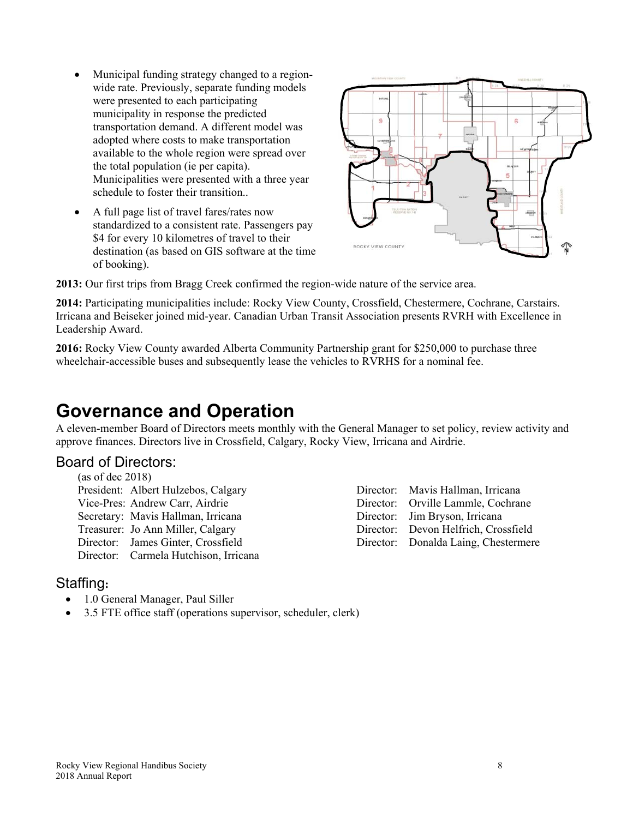- Municipal funding strategy changed to a regionwide rate. Previously, separate funding models were presented to each participating municipality in response the predicted transportation demand. A different model was adopted where costs to make transportation available to the whole region were spread over the total population (ie per capita). Municipalities were presented with a three year schedule to foster their transition..
- A full page list of travel fares/rates now standardized to a consistent rate. Passengers pay \$4 for every 10 kilometres of travel to their destination (as based on GIS software at the time of booking).



**2013:** Our first trips from Bragg Creek confirmed the region-wide nature of the service area.

**2014:** Participating municipalities include: Rocky View County, Crossfield, Chestermere, Cochrane, Carstairs. Irricana and Beiseker joined mid-year. Canadian Urban Transit Association presents RVRH with Excellence in Leadership Award.

**2016:** Rocky View County awarded Alberta Community Partnership grant for \$250,000 to purchase three wheelchair-accessible buses and subsequently lease the vehicles to RVRHS for a nominal fee.

# **Governance and Operation**

A eleven-member Board of Directors meets monthly with the General Manager to set policy, review activity and approve finances. Directors live in Crossfield, Calgary, Rocky View, Irricana and Airdrie.

### Board of Directors:

(as of dec 2018) President: Albert Hulzebos, Calgary Vice-Pres: Andrew Carr, Airdrie Secretary: Mavis Hallman, Irricana Treasurer: Jo Ann Miller, Calgary Director: James Ginter, Crossfield Director: Carmela Hutchison, Irricana

### Staffing**:**

- 1.0 General Manager, Paul Siller
- 3.5 FTE office staff (operations supervisor, scheduler, clerk)

| Director: Mavis Hallman, Irricana    |
|--------------------------------------|
| Director: Orville Lammle, Cochrane   |
| Director: Jim Bryson, Irricana       |
| Director: Devon Helfrich, Crossfield |
| Director: Donalda Laing, Chestermere |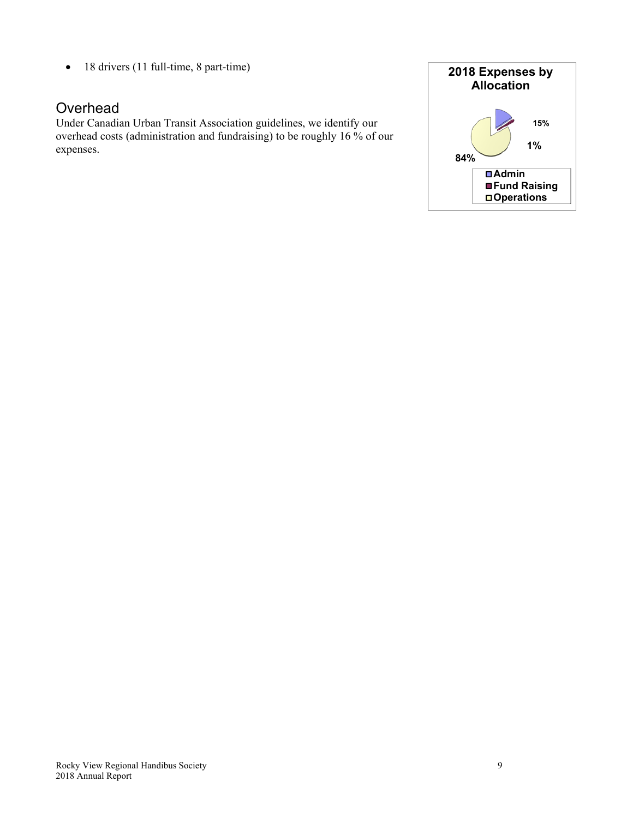• 18 drivers (11 full-time, 8 part-time)

## **Overhead**

Under Canadian Urban Transit Association guidelines, we identify our overhead costs (administration and fundraising) to be roughly 16 % of our expenses.